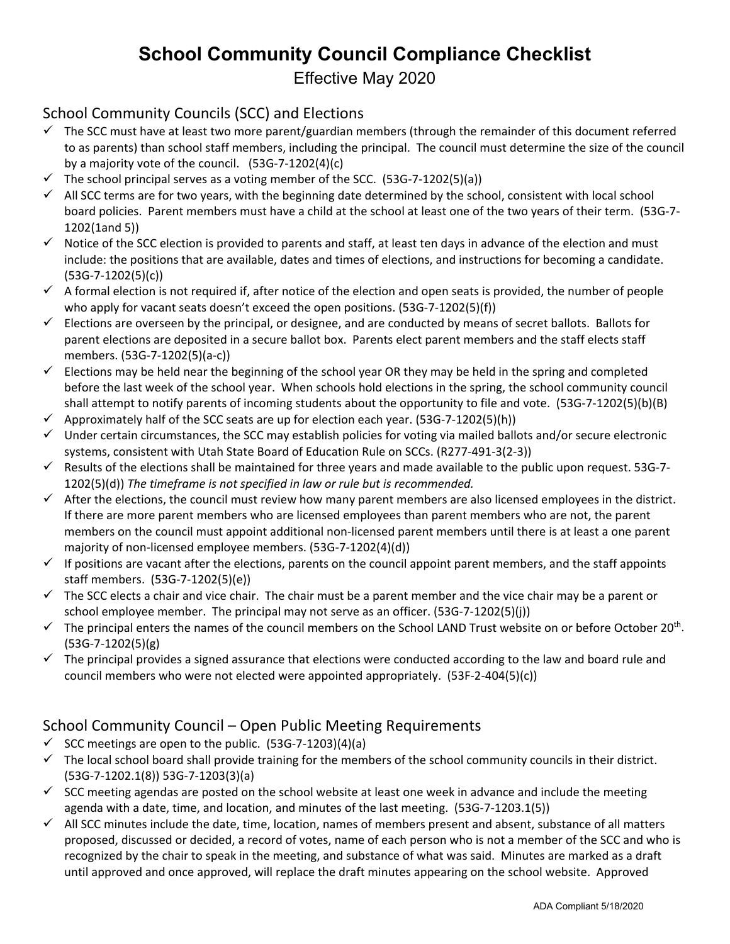# **School Community Council Compliance Checklist**

Effective May 2020

## School Community Councils (SCC) and Elections

- $\checkmark$  The SCC must have at least two more parent/guardian members (through the remainder of this document referred to as parents) than school staff members, including the principal. The council must determine the size of the council by a majority vote of the council. (53G-7-1202(4)(c)
- $\checkmark$  The school principal serves as a voting member of the SCC. (53G-7-1202(5)(a))
- $\checkmark$  All SCC terms are for two years, with the beginning date determined by the school, consistent with local school board policies. Parent members must have a child at the school at least one of the two years of their term. (53G-7- 1202(1and 5))
- $\checkmark$  Notice of the SCC election is provided to parents and staff, at least ten days in advance of the election and must include: the positions that are available, dates and times of elections, and instructions for becoming a candidate. (53G-7-1202(5)(c))
- $\checkmark$  A formal election is not required if, after notice of the election and open seats is provided, the number of people who apply for vacant seats doesn't exceed the open positions. (53G-7-1202(5)(f))
- $\checkmark$  Elections are overseen by the principal, or designee, and are conducted by means of secret ballots. Ballots for parent elections are deposited in a secure ballot box. Parents elect parent members and the staff elects staff members. (53G-7-1202(5)(a-c))
- $\checkmark$  Elections may be held near the beginning of the school year OR they may be held in the spring and completed before the last week of the school year. When schools hold elections in the spring, the school community council shall attempt to notify parents of incoming students about the opportunity to file and vote. (53G-7-1202(5)(b)(B)
- $\checkmark$  Approximately half of the SCC seats are up for election each year. (53G-7-1202(5)(h))
- $\checkmark$  Under certain circumstances, the SCC may establish policies for voting via mailed ballots and/or secure electronic systems, consistent with Utah State Board of Education Rule on SCCs. (R277-491-3(2-3))
- Results of the elections shall be maintained for three years and made available to the public upon request. 53G-7-1202(5)(d)) *The timeframe is not specified in law or rule but is recommended.*
- $\checkmark$  After the elections, the council must review how many parent members are also licensed employees in the district. If there are more parent members who are licensed employees than parent members who are not, the parent members on the council must appoint additional non-licensed parent members until there is at least a one parent majority of non-licensed employee members. (53G-7-1202(4)(d))
- $\checkmark$  If positions are vacant after the elections, parents on the council appoint parent members, and the staff appoints staff members. (53G-7-1202(5)(e))
- $\checkmark$  The SCC elects a chair and vice chair. The chair must be a parent member and the vice chair may be a parent or school employee member. The principal may not serve as an officer. (53G-7-1202(5)(j))
- $\checkmark$  The principal enters the names of the council members on the School LAND Trust website on or before October 20<sup>th</sup>. (53G-7-1202(5)(g)
- $\checkmark$  The principal provides a signed assurance that elections were conducted according to the law and board rule and council members who were not elected were appointed appropriately. (53F-2-404(5)(c))

### School Community Council – Open Public Meeting Requirements

- $\checkmark$  SCC meetings are open to the public. (53G-7-1203)(4)(a)
- $\checkmark$  The local school board shall provide training for the members of the school community councils in their district. (53G-7-1202.1(8)) 53G-7-1203(3)(a)
- $\checkmark$  SCC meeting agendas are posted on the school website at least one week in advance and include the meeting agenda with a date, time, and location, and minutes of the last meeting. (53G-7-1203.1(5))
- $\checkmark$  All SCC minutes include the date, time, location, names of members present and absent, substance of all matters proposed, discussed or decided, a record of votes, name of each person who is not a member of the SCC and who is recognized by the chair to speak in the meeting, and substance of what was said. Minutes are marked as a draft until approved and once approved, will replace the draft minutes appearing on the school website. Approved